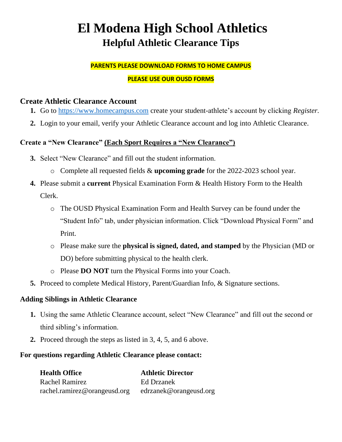# **El Modena High School Athletics Helpful Athletic Clearance Tips**

### **PARENTS PLEASE DOWNLOAD FORMS TO HOME CAMPUS**

**PLEASE USE OUR OUSD FORMS**

## **Create Athletic Clearance Account**

- **1.** Go to [https://www.homecampus.com](https://www.homecampus.com/) create your student-athlete's account by clicking *Register.*
- **2.** Login to your email, verify your Athletic Clearance account and log into Athletic Clearance.

### **Create a "New Clearance" (Each Sport Requires a "New Clearance")**

- **3.** Select "New Clearance" and fill out the student information.
	- o Complete all requested fields & **upcoming grade** for the 2022-2023 school year.
- **4.** Please submit a **current** Physical Examination Form & Health History Form to the Health Clerk.
	- o The OUSD Physical Examination Form and Health Survey can be found under the "Student Info" tab, under physician information. Click "Download Physical Form" and Print.
	- o Please make sure the **physical is signed, dated, and stamped** by the Physician (MD or DO) before submitting physical to the health clerk.
	- o Please **DO NOT** turn the Physical Forms into your Coach.
- **5.** Proceed to complete Medical History, Parent/Guardian Info, & Signature sections.

### **Adding Siblings in Athletic Clearance**

- **1.** Using the same Athletic Clearance account, select "New Clearance" and fill out the second or third sibling's information.
- **2.** Proceed through the steps as listed in 3, 4, 5, and 6 above.

### **For questions regarding Athletic Clearance please contact:**

**Health Office Athletic Director** Rachel Ramirez Ed Drzanek rachel.ramirez@orangeusd.org edrzanek@orangeusd.org